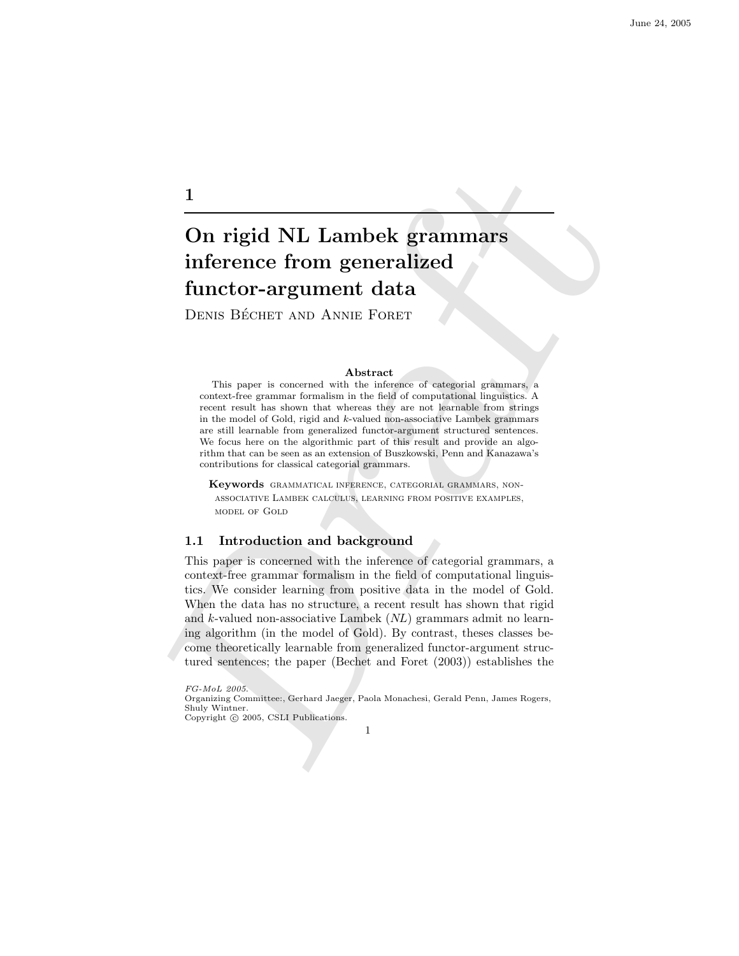# On rigid NL Lambek grammars inference from generalized functor-argument data

DENIS BÉCHET AND ANNIE FORET

#### Abstract

This paper is concerned with the inference of categorial grammars, a context-free grammar formalism in the field of computational linguistics. A recent result has shown that whereas they are not learnable from strings in the model of Gold, rigid and k-valued non-associative Lambek grammars are still learnable from generalized functor-argument structured sentences. We focus here on the algorithmic part of this result and provide an algorithm that can be seen as an extension of Buszkowski, Penn and Kanazawa's contributions for classical categorial grammars.

Keywords grammatical inference, categorial grammars, nonassociative Lambek calculus, learning from positive examples, model of Gold

# 1.1 Introduction and background

 $\begin{tabular}{l|c|c|c|c} \hline \textbf{1} & \textbf{1} & \textbf{1} & \textbf{1} & \textbf{1} & \textbf{1} & \textbf{1} & \textbf{1} & \textbf{1} & \textbf{1} & \textbf{1} & \textbf{1} & \textbf{1} & \textbf{1} & \textbf{1} & \textbf{1} & \textbf{1} & \textbf{1} & \textbf{1} & \textbf{1} & \textbf{1} & \textbf{1} & \textbf{1} & \textbf{1} & \textbf{1} & \textbf{1} & \textbf{1} & \textbf{1} & \textbf{1$ This paper is concerned with the inference of categorial grammars, a context-free grammar formalism in the field of computational linguistics. We consider learning from positive data in the model of Gold. When the data has no structure, a recent result has shown that rigid and  $k$ -valued non-associative Lambek  $(NL)$  grammars admit no learning algorithm (in the model of Gold). By contrast, theses classes become theoretically learnable from generalized functor-argument structured sentences; the paper (Bechet and Foret (2003)) establishes the

FG-MoL 2005.

1

Organizing Committee:, Gerhard Jaeger, Paola Monachesi, Gerald Penn, James Rogers, Shuly Wintner. Copyright © 2005, CSLI Publications.

<sup>1</sup>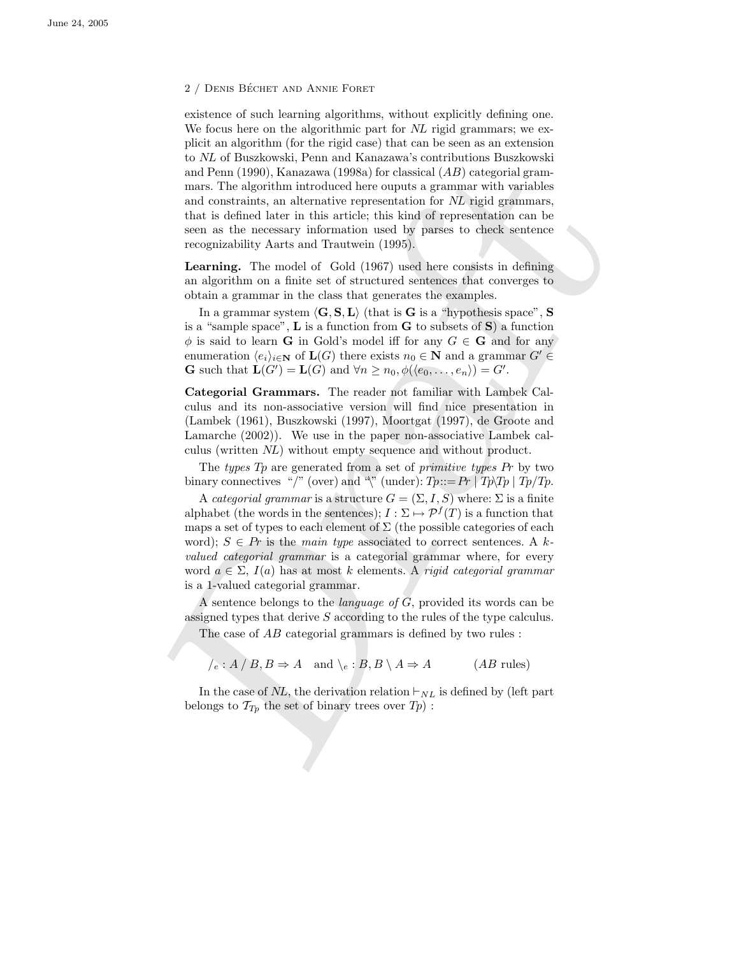#### 2 / DENIS BÉCHET AND ANNIE FORET

existence of such learning algorithms, without explicitly defining one. We focus here on the algorithmic part for NL rigid grammars; we explicit an algorithm (for the rigid case) that can be seen as an extension to NL of Buszkowski, Penn and Kanazawa's contributions Buszkowski and Penn (1990), Kanazawa (1998a) for classical (AB) categorial grammars. The algorithm introduced here ouputs a grammar with variables and constraints, an alternative representation for NL rigid grammars, that is defined later in this article; this kind of representation can be seen as the necessary information used by parses to check sentence recognizability Aarts and Trautwein (1995).

Learning. The model of Gold (1967) used here consists in defining an algorithm on a finite set of structured sentences that converges to obtain a grammar in the class that generates the examples.

In a grammar system  $\langle G, S, L \rangle$  (that is G is a "hypothesis space", S is a "sample space",  $\bf{L}$  is a function from  $\bf{G}$  to subsets of  $\bf{S}$ ) a function  $\phi$  is said to learn **G** in Gold's model iff for any  $G \in \mathbf{G}$  and for any enumeration  $\langle e_i \rangle_{i \in \mathbb{N}}$  of  $\mathbf{L}(G)$  there exists  $n_0 \in \mathbb{N}$  and a grammar  $G' \in$ **G** such that  $\mathbf{L}(G') = \mathbf{L}(G)$  and  $\forall n \geq n_0, \phi(\langle e_0, \dots, e_n \rangle) = G'.$ 

Categorial Grammars. The reader not familiar with Lambek Calculus and its non-associative version will find nice presentation in (Lambek (1961), Buszkowski (1997), Moortgat (1997), de Groote and Lamarche (2002)). We use in the paper non-associative Lambek calculus (written NL) without empty sequence and without product.

The types  $Tp$  are generated from a set of *primitive types*  $Pr$  by two binary connectives "/" (over) and "\" (under):  $Tp ::= Pr | Tp\angle Tp | Tp/Tp$ .

nn Prum (1990), Kamazam (1993s) for chassical (1/2) cyforsini grammar with variables and constraints, an alternative representation for A/r rigid grammars, that is defined tater in this article this land of representation A categorial grammar is a structure  $G = (\Sigma, I, S)$  where:  $\Sigma$  is a finite alphabet (the words in the sentences);  $I : \Sigma \mapsto \mathcal{P}^f(T)$  is a function that maps a set of types to each element of  $\Sigma$  (the possible categories of each word);  $S \in Pr$  is the main type associated to correct sentences. A kvalued categorial grammar is a categorial grammar where, for every word  $a \in \Sigma$ ,  $I(a)$  has at most k elements. A rigid categorial grammar is a 1-valued categorial grammar.

A sentence belongs to the *language* of  $\overline{G}$ , provided its words can be assigned types that derive S according to the rules of the type calculus.

The case of AB categorial grammars is defined by two rules :

$$
\angle_e : A \mid B, B \Rightarrow A \quad \text{and} \quad \angle_e : B, B \setminus A \Rightarrow A \tag{AB \text{ rules}}
$$

In the case of NL, the derivation relation  $\vdash_{NL}$  is defined by (left part belongs to  $\mathcal{T}_{T_p}$  the set of binary trees over  $T_p$ ):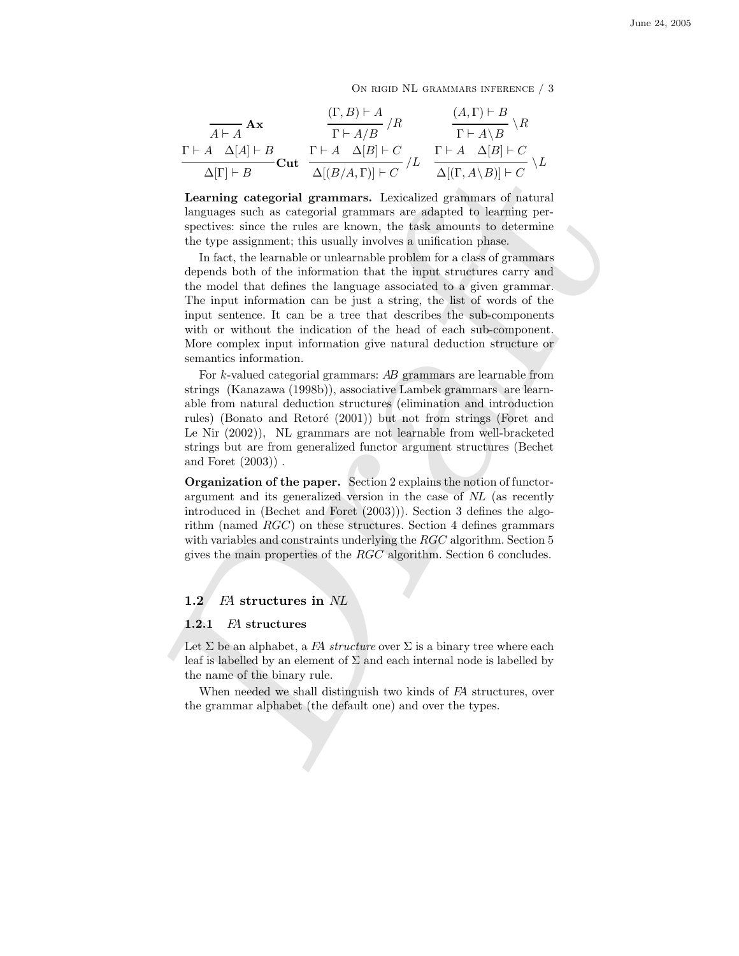ON RIGID NL GRAMMARS INFERENCE / 3

$$
\frac{\Gamma\vdash A \mathbf{A}\mathbf{x}}{\Delta\vdash A} \mathbf{A}\mathbf{x} \qquad \frac{(\Gamma, B)\vdash A}{\Gamma\vdash A/B} / R \qquad \frac{(A, \Gamma)\vdash B}{\Gamma\vdash A\setminus B} \setminus R
$$
\n
$$
\frac{\Gamma\vdash A \quad \Delta[A]\vdash B}{\Delta[\Gamma]\vdash B} \mathbf{Cut} \quad \frac{\Gamma\vdash A \quad \Delta[B]\vdash C}{\Delta[(B/A, \Gamma)]\vdash C} / L \quad \frac{\Gamma\vdash A \quad \Delta[B]\vdash C}{\Delta[(\Gamma, A\setminus B)]\vdash C} \setminus L
$$

Learning categorial grammars. Lexicalized grammars of natural languages such as categorial grammars are adapted to learning perspectives: since the rules are known, the task amounts to determine the type assignment; this usually involves a unification phase.

Draft In fact, the learnable or unlearnable problem for a class of grammars depends both of the information that the input structures carry and the model that defines the language associated to a given grammar. The input information can be just a string, the list of words of the input sentence. It can be a tree that describes the sub-components with or without the indication of the head of each sub-component. More complex input information give natural deduction structure or semantics information.

For k-valued categorial grammars: AB grammars are learnable from strings (Kanazawa (1998b)), associative Lambek grammars are learnable from natural deduction structures (elimination and introduction rules) (Bonato and Retoré (2001)) but not from strings (Foret and Le Nir (2002)), NL grammars are not learnable from well-bracketed strings but are from generalized functor argument structures (Bechet and Foret (2003)) .

Organization of the paper. Section 2 explains the notion of functorargument and its generalized version in the case of NL (as recently introduced in (Bechet and Foret (2003))). Section 3 defines the algorithm (named RGC) on these structures. Section 4 defines grammars with variables and constraints underlying the  $RGC$  algorithm. Section 5 gives the main properties of the RGC algorithm. Section 6 concludes.

#### 1.2 FA structures in NL

#### 1.2.1 FA structures

Let  $\Sigma$  be an alphabet, a FA structure over  $\Sigma$  is a binary tree where each leaf is labelled by an element of  $\Sigma$  and each internal node is labelled by the name of the binary rule.

When needed we shall distinguish two kinds of FA structures, over the grammar alphabet (the default one) and over the types.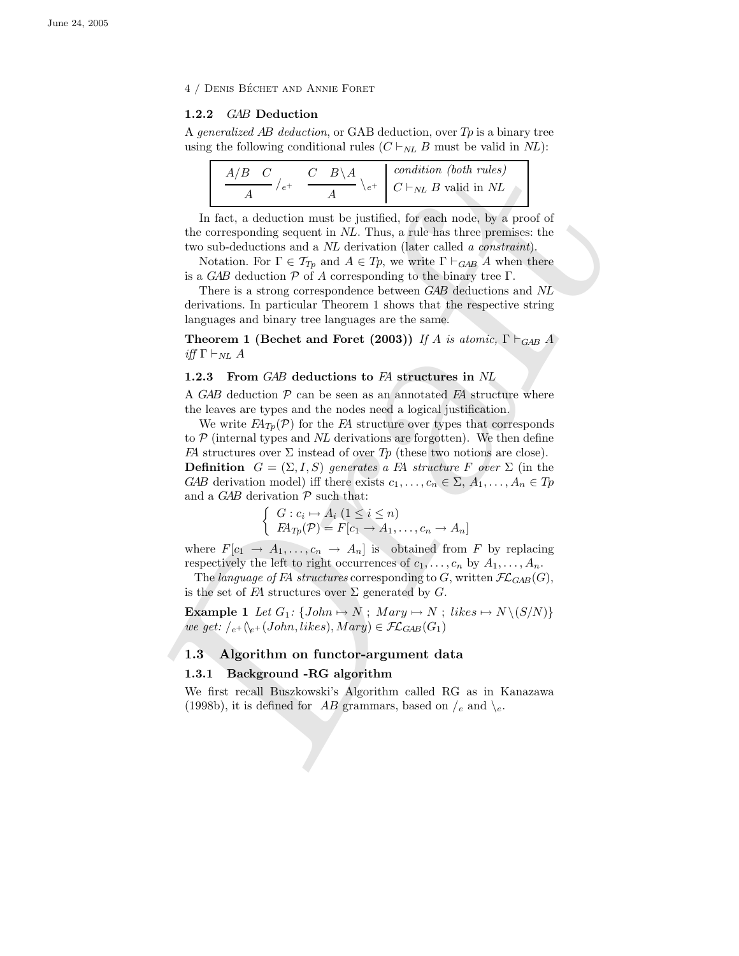4 / DENIS BÉCHET AND ANNIE FORET

# 1.2.2 GAB Deduction

A generalized AB deduction, or GAB deduction, over  $Tp$  is a binary tree using the following conditional rules  $(C \vdash_{NL} B$  must be valid in NL):

| $A/B$ $C$ | $C$ $B \setminus A$ | condition (both rules)                                                                     |
|-----------|---------------------|--------------------------------------------------------------------------------------------|
|           |                     | $\begin{array}{c c} \n\backslash e^+ & C \vdash_{NL} B \text{ valid in } NL \n\end{array}$ |

In fact, a deduction must be justified, for each node, by a proof of the corresponding sequent in NL. Thus, a rule has three premises: the two sub-deductions and a NL derivation (later called a constraint).

Notation. For  $\Gamma \in \mathcal{T}_{T_p}$  and  $A \in T_p$ , we write  $\Gamma \vdash_{GAB} A$  when there is a GAB deduction  $P$  of A corresponding to the binary tree  $\Gamma$ .

There is a strong correspondence between GAB deductions and NL derivations. In particular Theorem 1 shows that the respective string languages and binary tree languages are the same.

Theorem 1 (Bechet and Foret (2003)) If A is atomic,  $\Gamma \vdash_{GAB} A$ iff  $\Gamma \vdash_{NL} A$ 

# 1.2.3 From GAB deductions to FA structures in NL

A GAB deduction  $P$  can be seen as an annotated  $FA$  structure where the leaves are types and the nodes need a logical justification.

 $\frac{A/B-C}{A} \int_{c}^{L} \frac{B\setminus A}{c} \int_{c}^{L} \frac{B\setminus A}{c} \int_{c}^{L} \frac{B\setminus A}{c} \int_{c}^{L} \frac{C}{C} \int_{c}^{L} \frac{C}{C} \int_{c}^{L} \frac{C}{C} \int_{c}^{L} \frac{C}{C} \int_{c}^{L} \frac{C}{C} \int_{c}^{L} \frac{C}{C} \int_{c}^{L} \frac{C}{C} \int_{c}^{L} \frac{C}{C} \int_{c}^{L} \frac{C}{C} \int_{c}^{L} \frac{C}{C} \int_{c$ We write  $FA_{Tp}(\mathcal{P})$  for the FA structure over types that corresponds to  $P$  (internal types and NL derivations are forgotten). We then define FA structures over  $\Sigma$  instead of over T<sub>p</sub> (these two notions are close). **Definition**  $G = (\Sigma, I, S)$  generates a FA structure F over  $\Sigma$  (in the GAB derivation model) iff there exists  $c_1, \ldots, c_n \in \Sigma$ ,  $A_1, \ldots, A_n \in T_p$ and a  $GAB$  derivation  $P$  such that:

$$
\begin{cases} G: c_i \mapsto A_i \ (1 \le i \le n) \\ FA_{Tp}(\mathcal{P}) = F[c_1 \to A_1, \dots, c_n \to A_n] \end{cases}
$$

where  $F[c_1 \rightarrow A_1, \ldots, c_n \rightarrow A_n]$  is obtained from F by replacing respectively the left to right occurrences of  $c_1, \ldots, c_n$  by  $A_1, \ldots, A_n$ .

The language of FA structures corresponding to G, written  $\mathcal{FL}_{GAB}(G)$ , is the set of FA structures over  $\Sigma$  generated by G.

**Example 1** Let  $G_1$ : { $John \rightarrow N$ ;  $Mary \rightarrow N$ ; likes  $\rightarrow N \setminus (S/N)$ } we get:  $\big|_{e^+}\big(\big|_{e^+}\big(John, likes\big), Mary\big) \in \mathcal{FL}_{GAB}(G_1)$ 

#### 1.3 Algorithm on functor-argument data

#### 1.3.1 Background -RG algorithm

We first recall Buszkowski's Algorithm called RG as in Kanazawa (1998b), it is defined for AB grammars, based on  $\ell_e$  and  $\lambda_e$ .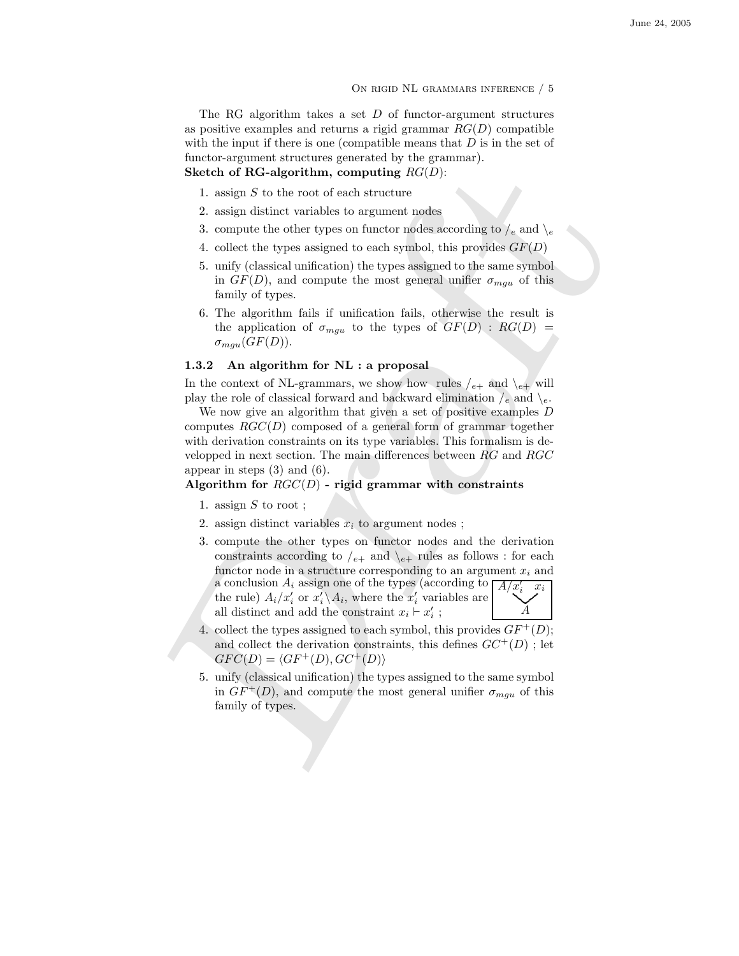On rigid NL grammars inference / 5

The RG algorithm takes a set  $D$  of functor-argument structures as positive examples and returns a rigid grammar  $RG(D)$  compatible with the input if there is one (compatible means that  $D$  is in the set of functor-argument structures generated by the grammar). Sketch of RG-algorithm, computing  $RG(D)$ :

- 1. assign  $S$  to the root of each structure
- 2. assign distinct variables to argument nodes
- 3. compute the other types on functor nodes according to  $/e$  and  $\searrow$
- 4. collect the types assigned to each symbol, this provides  $GF(D)$
- 5. unify (classical unification) the types assigned to the same symbol in  $GF(D)$ , and compute the most general unifier  $\sigma_{mgu}$  of this family of types.
- 6. The algorithm fails if unification fails, otherwise the result is the application of  $\sigma_{mgu}$  to the types of  $GF(D)$  :  $RG(D)$  =  $\sigma_{mgu}(GF(D)).$

## 1.3.2 An algorithm for NL : a proposal

In the context of NL-grammars, we show how rules  $/_{e+}$  and  $\geq_{e+}$  will play the role of classical forward and backward elimination  $\ell_e$  and  $\ell_e$ .

We now give an algorithm that given a set of positive examples D computes  $RGC(D)$  composed of a general form of grammar together with derivation constraints on its type variables. This formalism is developped in next section. The main differences between RG and RGC appear in steps (3) and (6).

# Algorithm for  $RGC(D)$  - rigid grammar with constraints

- 1. assign  $S$  to root;
- 2. assign distinct variables  $x_i$  to argument nodes;
- Sketch of RG-algorithm, computing  $RG(D)$ :<br>
1. assign 5 to the note of each structure codes according to /, and \, a. sasign distinct variables to argument rodes according to /, and \, 4. colect the types assigned to each s 3. compute the other types on functor nodes and the derivation constraints according to  $e_+$  and  $\lambda_{e_+}$  rules as follows : for each functor node in a structure corresponding to an argument  $x_i$  and a conclusion  $A_i$  assign one of the types (according to  $\overline{A/x'_i}$ <br>the rule)  $A_i/x'_i$  or  $x'_i \setminus A$ , where the  $x'_i$  variables are the rule)  $A_i/x'_i$  or  $x'_i \setminus A_i$ , where the  $x'_i$  variables are all distinct and add the constraint  $x_i \vdash x'_i$ ; . A  $x_i$ 
	- 4. collect the types assigned to each symbol, this provides  $GF^+(D)$ ; and collect the derivation constraints, this defines  $GC^+(D)$ ; let  $GFC(D) = \langle GF^+(D), GC^+(D)\rangle$
	- 5. unify (classical unification) the types assigned to the same symbol in  $GF^+(D)$ , and compute the most general unifier  $\sigma_{mqu}$  of this family of types.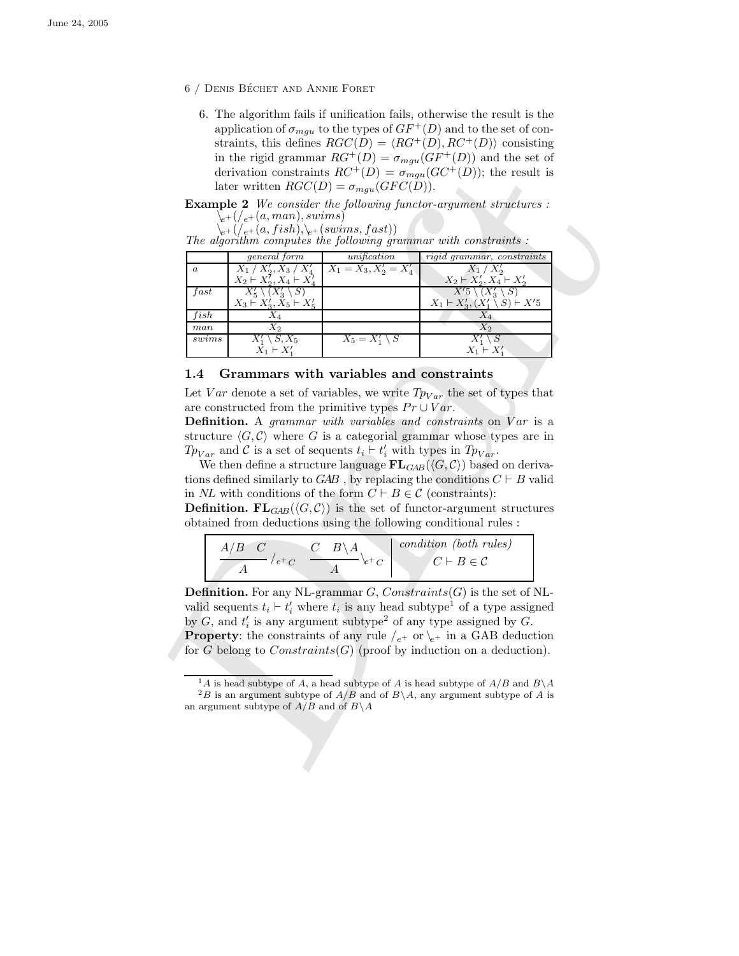- 6 / DENIS BÉCHET AND ANNIE FORET
	- 6. The algorithm fails if unification fails, otherwise the result is the application of  $\sigma_{mqu}$  to the types of  $GF^+(D)$  and to the set of constraints, this defines  $RGC(D) = \langle RG^+(D), RC^+(D)\rangle$  consisting in the rigid grammar  $RG^+(D) = \sigma_{mgu}(GF^+(D))$  and the set of derivation constraints  $RC^+(D) = \sigma_{mgu}(GC^+(D))$ ; the result is later written  $RGC(D) = \sigma_{mgu}(GFC(D)).$

Example 2 We consider the following functor-argument structures :  $\setminus_{e^+} (\mathcal{C}_{e^+}(a, man), swims)$ 

| $\setminus_{e^+}({\scriptstyle /e^+(a,fish),\setminus_{e^+}(swims,fast)})$ |  |  |
|----------------------------------------------------------------------------|--|--|
|                                                                            |  |  |
|                                                                            |  |  |

|                  | $\sum_{e^+}$ $(\ell_{e^+}(a, man), swims)$                              |                                                                                                                                                                                                | $\chi_{e^+}(\ell_{e^+}(a, fish), \xi_{e^+}(swims, fast))$<br>The algorithm computes the following grammar with constraints :                                                                              |
|------------------|-------------------------------------------------------------------------|------------------------------------------------------------------------------------------------------------------------------------------------------------------------------------------------|-----------------------------------------------------------------------------------------------------------------------------------------------------------------------------------------------------------|
| $\boldsymbol{a}$ | general form<br>$X_1 / X_2'$ , $X_3 / X_4'$                             | $\frac{unification}{X_1 = X_3, X'_2 = X'_4}$                                                                                                                                                   | rigid grammar, constraints<br>$X_1 \, / \, X_2'$                                                                                                                                                          |
|                  | $X_2 \vdash X_2^7, X_4 \vdash X_4^7$                                    |                                                                                                                                                                                                | $X_2 \vdash X'_2, X_4 \vdash X'_2$                                                                                                                                                                        |
| fast             | $X'_5 \setminus (X'_3 \setminus S)$                                     |                                                                                                                                                                                                | $X'5\setminus (X'_3\setminus S)$                                                                                                                                                                          |
| fish             | $X_3 \rightharpoonup X'_3, X_5 \rightharpoonup X'_5$<br>$X_4$           |                                                                                                                                                                                                | $X_1 \vdash X'_3, (X'_1 \setminus S) \vdash X'5$<br>$X_4$                                                                                                                                                 |
| man              | $\overline{X_2}$                                                        |                                                                                                                                                                                                | $X_2$                                                                                                                                                                                                     |
| swims            | $X'_1 \setminus S, X_5$<br>$X_1 \vdash X'_1$                            | $X_5 = X'_1 \setminus S$                                                                                                                                                                       | $X'_1\setminus S$<br>$X_1 \vdash X'_1$                                                                                                                                                                    |
| 1.4              |                                                                         | Grammars with variables and constraints                                                                                                                                                        | Let Var denote a set of variables, we write $Tp_{Var}$ the set of types that                                                                                                                              |
|                  | <b>Definition.</b> A grammar with variables and constraints on Var is a | are constructed from the primitive types $Pr \cup Var$ .                                                                                                                                       |                                                                                                                                                                                                           |
|                  |                                                                         |                                                                                                                                                                                                |                                                                                                                                                                                                           |
|                  |                                                                         |                                                                                                                                                                                                |                                                                                                                                                                                                           |
|                  |                                                                         |                                                                                                                                                                                                | structure $\langle G, C \rangle$ where G is a categorial grammar whose types are in                                                                                                                       |
|                  |                                                                         | $Tp_{Var}$ and C is a set of sequents $t_i \vdash t'_i$ with types in $Tp_{Var}$ .                                                                                                             | We then define a structure language $FL_{GAB}(\langle G, C \rangle)$ based on deriva-                                                                                                                     |
|                  |                                                                         |                                                                                                                                                                                                | tions defined similarly to $GAB$ , by replacing the conditions $C \vdash B$ valid                                                                                                                         |
|                  |                                                                         | in NL with conditions of the form $C \vdash B \in \mathcal{C}$ (constraints):                                                                                                                  |                                                                                                                                                                                                           |
|                  |                                                                         |                                                                                                                                                                                                | <b>Definition.</b> FL <sub>GAB</sub> ( $\langle G, C \rangle$ ) is the set of functor-argument structures                                                                                                 |
|                  |                                                                         |                                                                                                                                                                                                | obtained from deductions using the following conditional rules:                                                                                                                                           |
|                  |                                                                         |                                                                                                                                                                                                |                                                                                                                                                                                                           |
|                  |                                                                         |                                                                                                                                                                                                |                                                                                                                                                                                                           |
|                  |                                                                         | $\begin{array}{c c c} A/B & C & C & B\backslash A \\ \hline A & /e^+c & A & e^+c \\ \end{array} \bigg \begin{array}{c} condition \; (both \; rules) \\ C \vdash B \in \mathcal{C} \end{array}$ |                                                                                                                                                                                                           |
|                  |                                                                         |                                                                                                                                                                                                | <b>Definition.</b> For any NL-grammar $G$ , Constraints(G) is the set of NL-                                                                                                                              |
|                  |                                                                         |                                                                                                                                                                                                | valid sequents $t_i \vdash t'_i$ where $t_i$ is any head subtype <sup>1</sup> of a type assigned                                                                                                          |
|                  |                                                                         |                                                                                                                                                                                                | by $G$ , and $t'_{i}$ is any argument subtype <sup>2</sup> of any type assigned by $G$ .                                                                                                                  |
|                  |                                                                         |                                                                                                                                                                                                | <b>Property</b> : the constraints of any rule $\ell_{e^+}$ or $\ell_{e^+}$ in a GAB deduction                                                                                                             |
|                  |                                                                         |                                                                                                                                                                                                | for G belong to $Constraints(G)$ (proof by induction on a deduction).                                                                                                                                     |
|                  |                                                                         |                                                                                                                                                                                                |                                                                                                                                                                                                           |
|                  | an argument subtype of $A/B$ and of $B \setminus A$                     |                                                                                                                                                                                                | $\frac{1}{1}A$ is head subtype of A, a head subtype of A is head subtype of $A/B$ and $B \backslash A$<br>${}^{2}B$ is an argument subtype of $A/B$ and of $B \setminus A$ , any argument subtype of A is |

#### 1.4 Grammars with variables and constraints

| $A/B$ $C$ | $R \setminus \Delta$ | condition (both rules) |
|-----------|----------------------|------------------------|
| $e^+$ C   |                      | $CC \vdash B \in C$    |

 $1_A$  is head subtype of A, a head subtype of A is head subtype of  $A/B$  and  $B\setminus A$  ${}^{2}B$  is an argument subtype of  $A/B$  and of  $B\setminus A$ , any argument subtype of A is an argument subtype of  $A/B$  and of  $B \setminus A$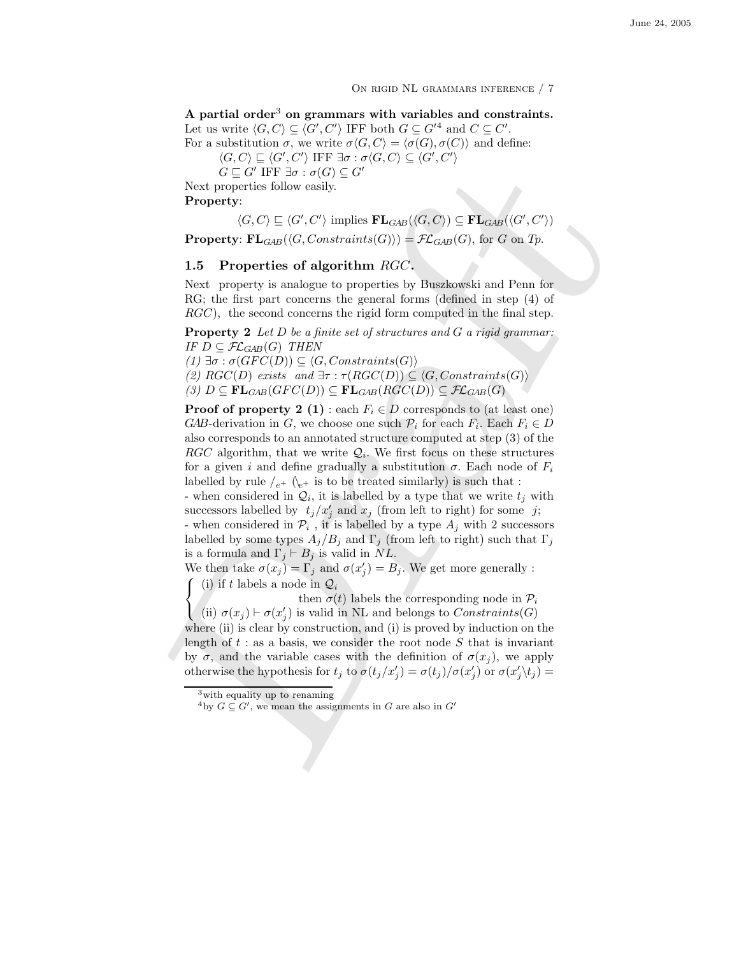On rigid NL grammars inference / 7

A partial order<sup>3</sup> on grammars with variables and constraints. Let us write  $\langle G, C \rangle \subseteq \langle G', C' \rangle$  IFF both  $G \subseteq G'^4$  and  $C \subseteq C'$ . For a substitution  $\sigma$ , we write  $\sigma \langle G, C \rangle = \langle \sigma(G), \sigma(C) \rangle$  and define:

 $\langle G, C \rangle \sqsubseteq \langle G', C' \rangle$  IFF  $\exists \sigma : \sigma \langle G, C \rangle \subseteq \langle G', C' \rangle$ 

 $G \sqsubseteq G'$  IFF  $\exists \sigma : \sigma(G) \subseteq G'$ 

Next properties follow easily. Property:

 $\langle G, C \rangle \subseteq \langle G', C' \rangle$  implies  $\mathbf{FL}_{GAB}(\langle G, C \rangle) \subseteq \mathbf{FL}_{GAB}(\langle G', C' \rangle)$ 

**Property:** FL<sub>GAB</sub>( $\langle G, Constraints(G) \rangle$ ) =  $\mathcal{FL}_{GAB}(G)$ , for G on Tp.

# 1.5 Properties of algorithm  $RGC$ .

Next property is analogue to properties by Buszkowski and Penn for RG; the first part concerns the general forms (defined in step (4) of RGC), the second concerns the rigid form computed in the final step.

**Property 2** Let  $D$  be a finite set of structures and  $G$  a rigid grammar: IF  $D \subseteq \mathcal{FL}_{GAB}(G)$  THEN

 $(1) \exists \sigma : \sigma(GFC(D)) \subseteq \langle G, Constraints(G) \rangle$ 

(2)  $RGC(D)$  exists and  $\exists \tau : \tau(RGC(D)) \subseteq \langle G, Constraints(G) \rangle$ 

 $(3)$   $D \subseteq \mathbf{FL}_{GAB}(GFC(D)) \subseteq \mathbf{FL}_{GAB}(RGC(D)) \subseteq \mathcal{FL}_{GAB}(G)$ 

G C CTF  $\exists x : \sigma(G) \subseteq G'$ <br>
Next properties follow easily<br>
Next properties of  $G, C \subseteq \langle G', C' \rangle$  implies  $\mathbf{FL}_{\text{cdd}}((G, C)) \subseteq \mathbf{FL}_{\text{cdd}}((G, C'))$ <br>  $\mathbf{Proporty: }\mathbf{FL}_{\text{cdd}}((G, Constraint s(G))) = \mathcal{FL}_{\text{cdd}}((G, C))$ , for  $G$  on  $\mathcal{T}_D$ <br>  $\mathbf{Proporty: }\$ **Proof of property 2 (1)**: each  $F_i \in D$  corresponds to (at least one) GAB-derivation in G, we choose one such  $\mathcal{P}_i$  for each  $F_i$ . Each  $F_i \in D$ also corresponds to an annotated structure computed at step (3) of the RGC algorithm, that we write  $\mathcal{Q}_i$ . We first focus on these structures for a given i and define gradually a substitution  $\sigma$ . Each node of  $F_i$ labelled by rule  $\ell_{e^+}$  ( $\ell_{e^+}$  is to be treated similarly) is such that : - when considered in  $\mathcal{Q}_i$ , it is labelled by a type that we write  $t_j$  with

successors labelled by  $t_j/x'_j$  and  $x_j$  (from left to right) for some j; - when considered in  $\mathcal{P}_i$ , it is labelled by a type  $A_j$  with 2 successors

labelled by some types  $A_j/B_j$  and  $\Gamma_j$  (from left to right) such that  $\Gamma_j$ is a formula and  $\Gamma_j \vdash B_j$  is valid in NL.

We then take  $\sigma(x_j) = \Gamma_j$  and  $\sigma(x'_j) = B_j$ . We get more generally :  $\sqrt{ }$  $\left| \right|$ (i) if t labels a node in  $\mathcal{Q}_i$ 

then  $\sigma(t)$  labels the corresponding node in  $\mathcal{P}_i$ 

(ii)  $\sigma(x_j) \vdash \sigma(x'_j)$  is valid in NL and belongs to  $Constraints(G)$ where (ii) is clear by construction, and (i) is proved by induction on the

length of  $t :$  as a basis, we consider the root node  $S$  that is invariant by  $\sigma$ , and the variable cases with the definition of  $\sigma(x_j)$ , we apply otherwise the hypothesis for  $t_j$  to  $\sigma(t_j/x'_j) = \sigma(t_j)/\sigma(x'_j)$  or  $\sigma(x'_j \setminus t_j) =$ 

 $\mathcal{K}$ 

<sup>3</sup>with equality up to renaming

<sup>&</sup>lt;sup>4</sup>by  $G \subseteq G'$ , we mean the assignments in G are also in  $G'$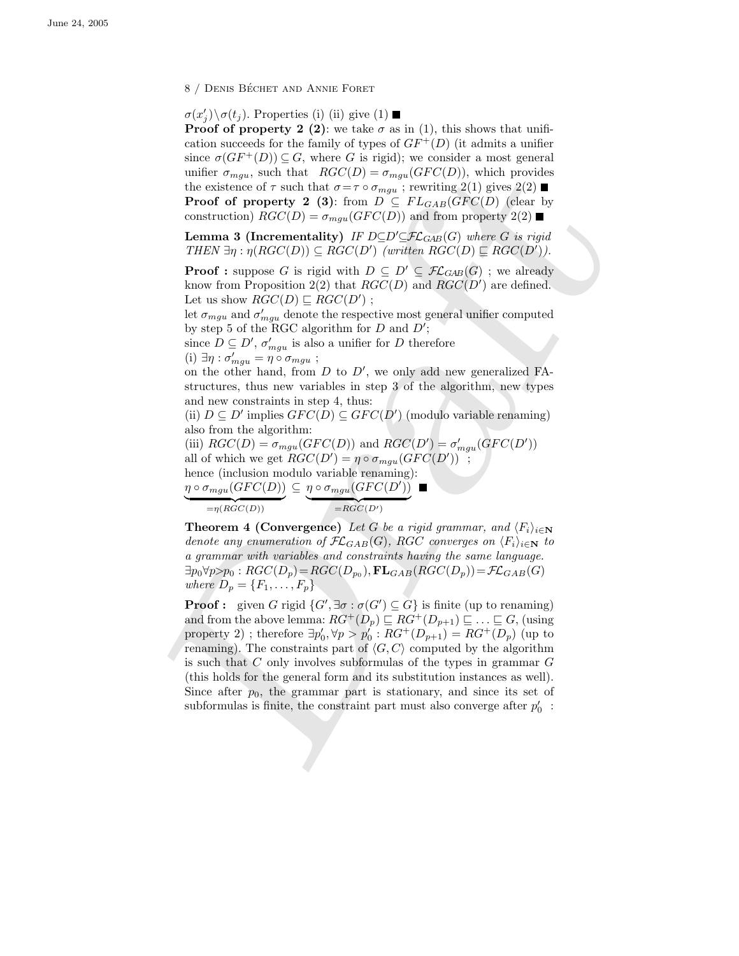8 / DENIS BÉCHET AND ANNIE FORET

 $\sigma(x'_j) \backslash \sigma(t_j)$ . Properties (i) (ii) give (1)

**Proof of property 2 (2)**: we take  $\sigma$  as in (1), this shows that unification succeeds for the family of types of  $GF^+(D)$  (it admits a unifier since  $\sigma(GF^+(D)) \subseteq G$ , where G is rigid); we consider a most general unifier  $\sigma_{mgu}$ , such that  $RGC(D) = \sigma_{mgu}(GFC(D))$ , which provides the existence of  $\tau$  such that  $\sigma = \tau \circ \sigma_{mgu}$ ; rewriting 2(1) gives 2(2) **Proof of property 2 (3):** from  $D \subseteq FL_{GAB}(GFC(D))$  (clear by construction)  $RGC(D) = \sigma_{mqu}(GFC(D))$  and from property  $2(2)$ 

**Lemma 3 (Incrementality)** IF  $D\subseteq D'\subseteq \mathcal{FL}_{GAB}(G)$  where G is rigid THEN  $\exists \eta : \eta(RGC(D)) \subseteq RGC(D')$  (written  $RGC(D) \sqsubseteq RGC(D')$ ).

**Proof :** suppose G is rigid with  $D \subseteq D' \subseteq \mathcal{FL}_{GAB}(G)$ ; we already know from Proposition 2(2) that  $RGC(D)$  and  $RGC(D')$  are defined. Let us show  $RGC(D) \sqsubseteq RGC(D')$ ;

let  $\sigma_{mgu}$  and  $\sigma'_{mgu}$  denote the respective most general unifier computed by step 5 of the RGC algorithm for  $D$  and  $D'$ ;

since  $D \subseteq D'$ ,  $\sigma'_{mgu}$  is also a unifier for D therefore (i)  $\exists \eta : \sigma'_{mgu} = \eta \circ \sigma_{mgu}$ ;

on the other hand, from  $D$  to  $D'$ , we only add new generalized FAstructures, thus new variables in step 3 of the algorithm, new types and new constraints in step 4, thus:

(ii)  $D \subseteq D'$  implies  $GFC(D) \subseteq GFC(D')$  (modulo variable renaming) also from the algorithm:

(iii)  $RGC(D) = \sigma_{mgu}(GFC(D))$  and  $RGC(D') = \sigma'_{mgu}(GFC(D'))$ all of which we get  $RGC(D') = \eta \circ \sigma_{mgu}(GFC(D'))$ ; hence (inclusion modulo variable renaming):  $\eta \circ \sigma_{mgu}(GFC(D)) \subseteq \eta \circ \sigma_{mgu}(GFC(D'))$ 

 $= RGC(D')$ 

 $=\eta(RGC(D))$ 

**Theorem 4 (Convergence)** Let G be a rigid grammar, and  $\langle F_i \rangle_{i \in \mathbb{N}}$ denote any enumeration of  $\mathcal{FL}_{GAB}(G)$ , RGC converges on  $\langle F_i \rangle_{i \in \mathbb{N}}$  to a grammar with variables and constraints having the same language.  $\exists p_0 \forall p > p_0 : RGC(D_p) = RGC(D_{p_0}),$   $\mathbf{FL}_{GAB}(RGC(D_p)) = \mathcal{FL}_{GAB}(G)$ where  $D_p = \{F_1, \ldots, F_p\}$ 

unifor  $\pi_{\rm max}$ , such that *RGC*( $D$ ) =  $\overline{\sigma}_{\rm max}(\overline{GFG(D)})$ , which provides the existence of  $\tau$  such that  $\sigma = \tau \circ \sigma_{\rm max}$ , ( $\tau$ EVC( $D$ )), ( $\tau$ Por  $\sigma$ ) = **Provides** construction) *RGC*( $D$ ) =  $\overline{\tau} = \sigma_{\rm max}$ ,  $\tau$ **Proof**: given G rigid  $\{G', \exists \sigma : \sigma(G') \subseteq G\}$  is finite (up to renaming) and from the above lemma:  $RG^+(D_p) \sqsubseteq RG^+(D_{p+1}) \sqsubseteq \ldots \sqsubseteq G$ , (using property 2) ; therefore  $\exists p'_0, \forall p > p'_0 : RG^+(D_{p+1}) = RG^+(D_p)$  (up to renaming). The constraints part of  $\langle G, C \rangle$  computed by the algorithm is such that  $C$  only involves subformulas of the types in grammar  $G$ (this holds for the general form and its substitution instances as well). Since after  $p_0$ , the grammar part is stationary, and since its set of subformulas is finite, the constraint part must also converge after  $p_0^\prime\;$  :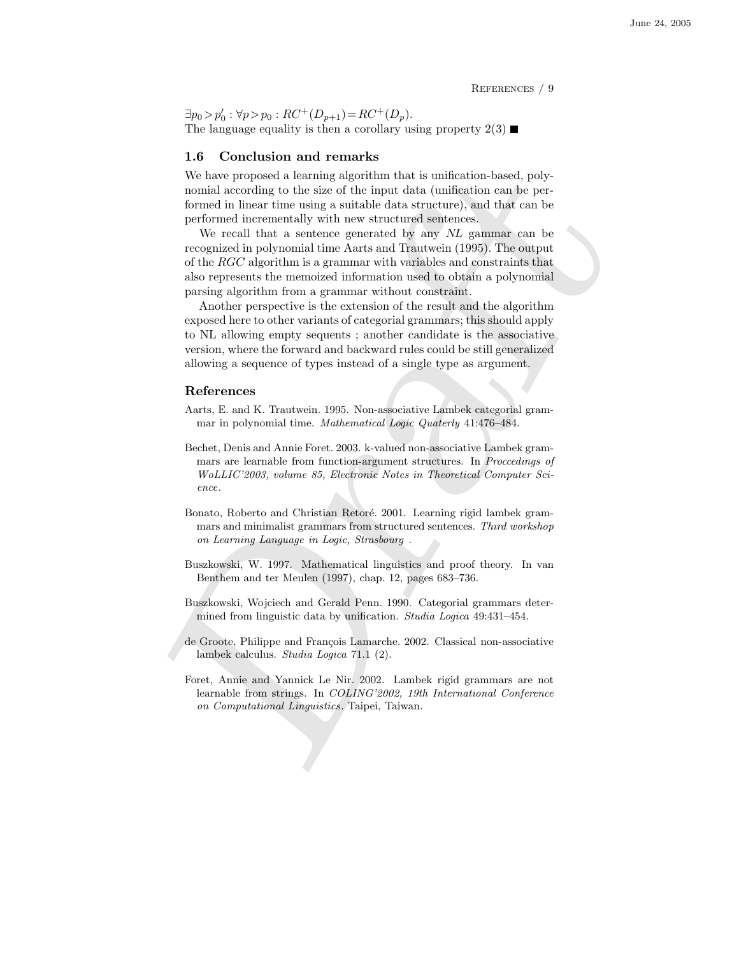References / 9

 $\exists p_0 > p'_0 : \forall p > p_0 : RC^+(D_{p+1}) = RC^+(D_p).$ The language equality is then a corollary using property  $2(3)$ 

## 1.6 Conclusion and remarks

We have proposed a learning algorithm that is unification-based, polynomial according to the size of the input data (unification can be performed in linear time using a suitable data structure), and that can be performed incrementally with new structured sentences.

We recall that a sentence generated by any NL gammar can be recognized in polynomial time Aarts and Trautwein (1995). The output of the RGC algorithm is a grammar with variables and constraints that also represents the memoized information used to obtain a polynomial parsing algorithm from a grammar without constraint.

We have proposed a learning algorithm that is unification-based, polynomial scoroling to the size of the input ratio (unification can be performed in three strematically with new structure (seniesce). We receive the perfo Another perspective is the extension of the result and the algorithm exposed here to other variants of categorial grammars; this should apply to NL allowing empty sequents ; another candidate is the associative version, where the forward and backward rules could be still generalized allowing a sequence of types instead of a single type as argument.

## References

- Aarts, E. and K. Trautwein. 1995. Non-associative Lambek categorial grammar in polynomial time. Mathematical Logic Quaterly 41:476–484.
- Bechet, Denis and Annie Foret. 2003. k-valued non-associative Lambek grammars are learnable from function-argument structures. In Proccedings of WoLLIC'2003, volume 85, Electronic Notes in Theoretical Computer Science.
- Bonato, Roberto and Christian Retoré. 2001. Learning rigid lambek grammars and minimalist grammars from structured sentences. Third workshop on Learning Language in Logic, Strasbourg .
- Buszkowski, W. 1997. Mathematical linguistics and proof theory. In van Benthem and ter Meulen (1997), chap. 12, pages 683–736.
- Buszkowski, Wojciech and Gerald Penn. 1990. Categorial grammars determined from linguistic data by unification. Studia Logica 49:431–454.
- de Groote, Philippe and François Lamarche. 2002. Classical non-associative lambek calculus. Studia Logica 71.1 (2).
- Foret, Annie and Yannick Le Nir. 2002. Lambek rigid grammars are not learnable from strings. In COLING'2002, 19th International Conference on Computational Linguistics. Taipei, Taiwan.